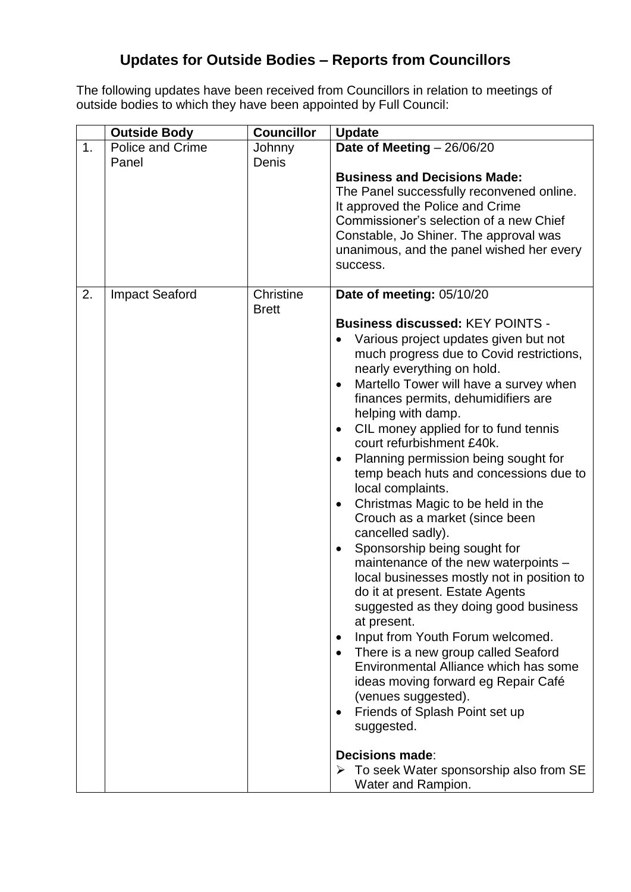## **Updates for Outside Bodies – Reports from Councillors**

The following updates have been received from Councillors in relation to meetings of outside bodies to which they have been appointed by Full Council:

|    | <b>Outside Body</b>     | <b>Councillor</b>         | <b>Update</b>                                                                                                                                                                                                                                                                                                                                                                                                                                                                                                                                                                                                                                                                                                                                                                                                                                                                                                                                                                                                                                                                                                                                   |
|----|-------------------------|---------------------------|-------------------------------------------------------------------------------------------------------------------------------------------------------------------------------------------------------------------------------------------------------------------------------------------------------------------------------------------------------------------------------------------------------------------------------------------------------------------------------------------------------------------------------------------------------------------------------------------------------------------------------------------------------------------------------------------------------------------------------------------------------------------------------------------------------------------------------------------------------------------------------------------------------------------------------------------------------------------------------------------------------------------------------------------------------------------------------------------------------------------------------------------------|
| 1. | <b>Police and Crime</b> | Johnny                    | Date of Meeting $-26/06/20$                                                                                                                                                                                                                                                                                                                                                                                                                                                                                                                                                                                                                                                                                                                                                                                                                                                                                                                                                                                                                                                                                                                     |
|    | Panel                   | Denis                     | <b>Business and Decisions Made:</b><br>The Panel successfully reconvened online.<br>It approved the Police and Crime<br>Commissioner's selection of a new Chief<br>Constable, Jo Shiner. The approval was<br>unanimous, and the panel wished her every<br>success.                                                                                                                                                                                                                                                                                                                                                                                                                                                                                                                                                                                                                                                                                                                                                                                                                                                                              |
| 2. | <b>Impact Seaford</b>   | Christine<br><b>Brett</b> | Date of meeting: 05/10/20<br><b>Business discussed: KEY POINTS -</b><br>Various project updates given but not<br>much progress due to Covid restrictions,<br>nearly everything on hold.<br>Martello Tower will have a survey when<br>finances permits, dehumidifiers are<br>helping with damp.<br>CIL money applied for to fund tennis<br>$\bullet$<br>court refurbishment £40k.<br>Planning permission being sought for<br>temp beach huts and concessions due to<br>local complaints.<br>Christmas Magic to be held in the<br>$\bullet$<br>Crouch as a market (since been<br>cancelled sadly).<br>Sponsorship being sought for<br>maintenance of the new waterpoints -<br>local businesses mostly not in position to<br>do it at present. Estate Agents<br>suggested as they doing good business<br>at present.<br>Input from Youth Forum welcomed.<br>There is a new group called Seaford<br>Environmental Alliance which has some<br>ideas moving forward eg Repair Café<br>(venues suggested).<br>Friends of Splash Point set up<br>suggested.<br><b>Decisions made:</b><br>> To seek Water sponsorship also from SE<br>Water and Rampion. |